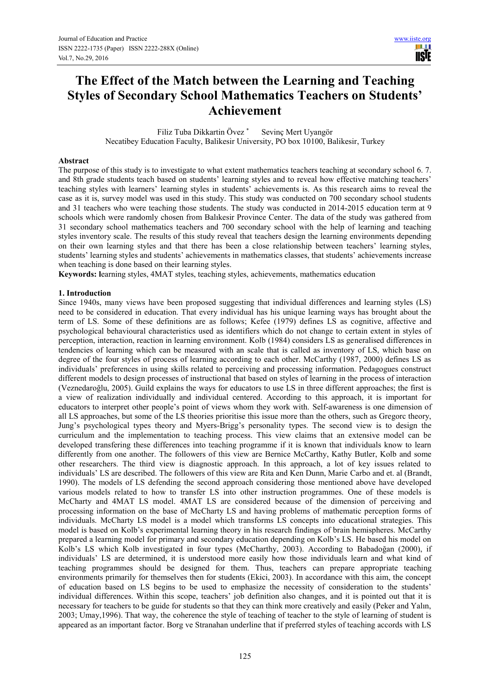# **The Effect of the Match between the Learning and Teaching Styles of Secondary School Mathematics Teachers on Students' Achievement**

Filiz Tuba Dikkartin Övez \* Sevinç Mert Uyangör Necatibey Education Faculty, Balikesir University, PO box 10100, Balikesir, Turkey

# **Abstract**

The purpose of this study is to investigate to what extent mathematics teachers teaching at secondary school 6. 7. and 8th grade students teach based on students' learning styles and to reveal how effective matching teachers' teaching styles with learners' learning styles in students' achievements is. As this research aims to reveal the case as it is, survey model was used in this study. This study was conducted on 700 secondary school students and 31 teachers who were teaching those students. The study was conducted in 2014-2015 education term at 9 schools which were randomly chosen from Balıkesir Province Center. The data of the study was gathered from 31 secondary school mathematics teachers and 700 secondary school with the help of learning and teaching styles inventory scale. The results of this study reveal that teachers design the learning environments depending on their own learning styles and that there has been a close relationship between teachers' learning styles, students' learning styles and students' achievements in mathematics classes, that students' achievements increase when teaching is done based on their learning styles.

**Keywords: l**earning styles, 4MAT styles, teaching styles, achievements, mathematics education

# **1. Introduction**

Since 1940s, many views have been proposed suggesting that individual differences and learning styles (LS) need to be considered in education. That every individual has his unique learning ways has brought about the term of LS. Some of these definitions are as follows; Kefee (1979) defines LS as cognitive, affective and psychological behavioural characteristics used as identifiers which do not change to certain extent in styles of perception, interaction, reaction in learning environment. Kolb (1984) considers LS as generalised differences in tendencies of learning which can be measured with an scale that is called as inventory of LS, which base on degree of the four styles of process of learning according to each other. McCarthy (1987, 2000) defines LS as individuals' preferences in using skills related to perceiving and processing information. Pedagogues construct different models to design processes of instructional that based on styles of learning in the process of interaction (Veznedaroğlu, 2005). Guild explains the ways for educators to use LS in three different approaches; the first is a view of realization individually and individual centered. According to this approach, it is important for educators to interpret other people's point of views whom they work with. Self-awareness is one dimension of all LS approaches, but some of the LS theories prioritise this issue more than the others, such as Gregorc theory, Jung's psychological types theory and Myers-Brigg's personality types. The second view is to design the curriculum and the implementation to teaching process. This view claims that an extensive model can be developed transfering these differences into teaching programme if it is known that individuals know to learn differently from one another. The followers of this view are Bernice McCarthy, Kathy Butler, Kolb and some other researchers. The third view is diagnostic approach. In this approach, a lot of key issues related to individuals' LS are described. The followers of this view are Rita and Ken Dunn, Marie Carbo and et. al (Brandt, 1990). The models of LS defending the second approach considering those mentioned above have developed various models related to how to transfer LS into other instruction programmes. One of these models is McCharty and 4MAT LS model. 4MAT LS are considered because of the dimension of perceiving and processing information on the base of McCharty LS and having problems of mathematic perception forms of individuals. McCharty LS model is a model which transforms LS concepts into educational strategies. This model is based on Kolb's experimental learning theory in his research findings of brain hemispheres. McCarthy prepared a learning model for primary and secondary education depending on Kolb's LS. He based his model on Kolb's LS which Kolb investigated in four types (McCharthy, 2003). According to Babadoğan (2000), if individuals' LS are determined, it is understood more easily how those individuals learn and what kind of teaching programmes should be designed for them. Thus, teachers can prepare appropriate teaching environments primarily for themselves then for students (Ekici, 2003). In accordance with this aim, the concept of education based on LS begins to be used to emphasize the necessity of consideration to the students' individual differences. Within this scope, teachers' job definition also changes, and it is pointed out that it is necessary for teachers to be guide for students so that they can think more creatively and easily (Peker and Yalın, 2003; Umay,1996). That way, the coherence the style of teaching of teacher to the style of learning of student is appeared as an important factor. Borg ve Stranahan underline that if preferred styles of teaching accords with LS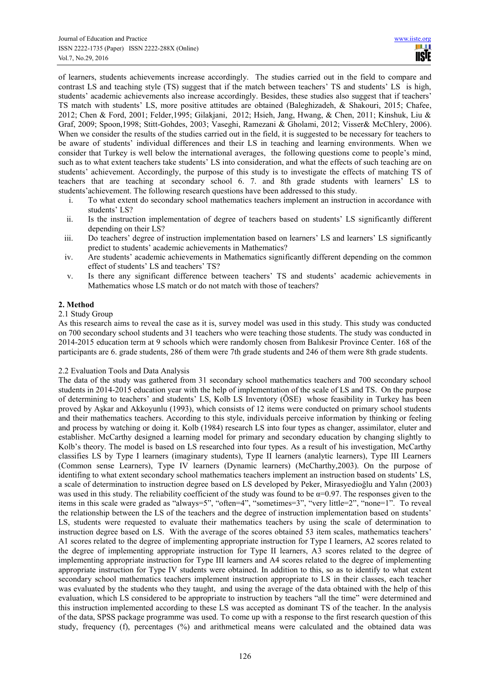of learners, students achievements increase accordingly. The studies carried out in the field to compare and contrast LS and teaching style (TS) suggest that if the match between teachers' TS and students' LS is high, students' academic achievements also increase accordingly. Besides, these studies also suggest that if teachers' TS match with students' LS, more positive attitudes are obtained (Baleghizadeh, & Shakouri, 2015; Chafee, 2012; Chen & Ford, 2001; Felder,1995; Gilakjani, 2012; Hsieh, Jang, Hwang, & Chen, 2011; Kinshuk, Liu & Graf, 2009; Spoon,1998; Stitt-Gohdes, 2003; Vaseghi, Ramezani & Gholami, 2012; Visser& McChlery, 2006). When we consider the results of the studies carried out in the field, it is suggested to be necessary for teachers to be aware of students' individual differences and their LS in teaching and learning environments. When we consider that Turkey is well below the international averages, the following questions come to people's mind, such as to what extent teachers take students' LS into consideration, and what the effects of such teaching are on students' achievement. Accordingly, the purpose of this study is to investigate the effects of matching TS of teachers that are teaching at secondary school 6. 7. and 8th grade students with learners' LS to students'achievement. The following research questions have been addressed to this study.

- i. To what extent do secondary school mathematics teachers implement an instruction in accordance with students' LS?
- ii. Is the instruction implementation of degree of teachers based on students' LS significantly different depending on their LS?
- iii. Do teachers' degree of instruction implementation based on learners' LS and learners' LS significantly predict to students' academic achievements in Mathematics?
- iv. Are students' academic achievements in Mathematics significantly different depending on the common effect of students' LS and teachers' TS?
- v. Is there any significant difference between teachers' TS and students' academic achievements in Mathematics whose LS match or do not match with those of teachers?

# **2. Method**

#### 2.1 Study Group

As this research aims to reveal the case as it is, survey model was used in this study. This study was conducted on 700 secondary school students and 31 teachers who were teaching those students. The study was conducted in 2014-2015 education term at 9 schools which were randomly chosen from Balıkesir Province Center. 168 of the participants are 6. grade students, 286 of them were 7th grade students and 246 of them were 8th grade students.

# 2.2 Evaluation Tools and Data Analysis

The data of the study was gathered from 31 secondary school mathematics teachers and 700 secondary school students in 2014-2015 education year with the help of implementation of the scale of LS and TS. On the purpose of determining to teachers' and students' LS, Kolb LS Inventory (ÖSE) whose feasibility in Turkey has been proved by Aşkar and Akkoyunlu (1993), which consists of 12 items were conducted on primary school students and their mathematics teachers. According to this style, individuals perceive information by thinking or feeling and process by watching or doing it. Kolb (1984) research LS into four types as changer, assimilator, eluter and establisher. McCarthy designed a learning model for primary and secondary education by changing slightly to Kolb's theory. The model is based on LS researched into four types. As a result of his investigation, McCarthy classifies LS by Type I learners (imaginary students), Type II learners (analytic learners), Type III Learners (Common sense Learners), Type IV learners (Dynamic learners) (McCharthy,2003). On the purpose of identifing to what extent secondary school mathematics teachers implement an instruction based on students' LS, a scale of determination to instruction degree based on LS developed by Peker, Mirasyedioğlu and Yalın (2003) was used in this study. The reliability coefficient of the study was found to be  $\alpha=0.97$ . The responses given to the items in this scale were graded as "always=5", "often=4", "sometimes=3", "very little=2", "none=1". To reveal the relationship between the LS of the teachers and the degree of instruction implementation based on students' LS, students were requested to evaluate their mathematics teachers by using the scale of determination to instruction degree based on LS. With the average of the scores obtained 53 item scales, mathematics teachers' A1 scores related to the degree of implementing appropriate instruction for Type I learners, A2 scores related to the degree of implementing appropriate instruction for Type II learners, A3 scores related to the degree of implementing appropriate instruction for Type III learners and A4 scores related to the degree of implementing appropriate instruction for Type IV students were obtained. In addition to this, so as to identify to what extent secondary school mathematics teachers implement instruction appropriate to LS in their classes, each teacher was evaluated by the students who they taught, and using the average of the data obtained with the help of this evaluation, which LS considered to be appropriate to instruction by teachers "all the time" were determined and this instruction implemented according to these LS was accepted as dominant TS of the teacher. In the analysis of the data, SPSS package programme was used. To come up with a response to the first research question of this study, frequency (f), percentages (%) and arithmetical means were calculated and the obtained data was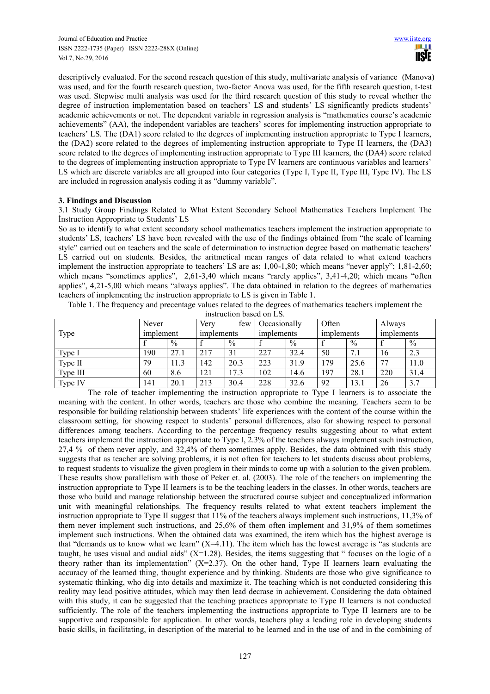descriptively evaluated. For the second reseach question of this study, multivariate analysis of variance (Manova) was used, and for the fourth research question, two-factor Anova was used, for the fifth research question, t-test was used. Stepwise multi analysis was used for the third research question of this study to reveal whether the degree of instruction implementation based on teachers' LS and students' LS significantly predicts students' academic achievements or not. The dependent variable in regression analysis is "mathematics course's academic achievements" (AA), the independent variables are teachers' scores for implementing instruction appropriate to teachers' LS. The (DA1) score related to the degrees of implementing instruction appropriate to Type I learners, the (DA2) score related to the degrees of implementing instruction appropriate to Type II learners, the (DA3) score related to the degrees of implementing instruction appropriate to Type III learners, the (DA4) score related to the degrees of implementing instruction appropriate to Type IV learners are continuous variables and learners' LS which are discrete variables are all grouped into four categories (Type I, Type II, Type III, Type IV). The LS are included in regression analysis coding it as "dummy variable".

# **3. Findings and Discussion**

3.1 Study Group Findings Related to What Extent Secondary School Mathematics Teachers Implement The İnstruction Appropriate to Students' LS

So as to identify to what extent secondary school mathematics teachers implement the instruction appropriate to students' LS, teachers' LS have been revealed with the use of the findings obtained from "the scale of learning style" carried out on teachers and the scale of determination to instruction degree based on mathematic teachers' LS carried out on students. Besides, the aritmetical mean ranges of data related to what extend teachers implement the instruction appropriate to teachers' LS are as; 1,00-1,80; which means "never apply"; 1,81-2,60; which means "sometimes applies", 2,61-3,40 which means "rarely applies", 3,41-4,20; which means "often applies", 4,21-5,00 which means "always applies". The data obtained in relation to the degrees of mathematics teachers of implementing the instruction appropriate to LS is given in Table 1.

Table 1. The frequency and precentage values related to the degrees of mathematics teachers implement the instruction based on LS.

| Type     | Never<br>implement |               | Very<br>few<br>implements |      | Occasionally<br>implements |               | Often<br>implements |      | Always<br>implements |      |
|----------|--------------------|---------------|---------------------------|------|----------------------------|---------------|---------------------|------|----------------------|------|
|          |                    | $\frac{0}{0}$ |                           | $\%$ |                            | $\frac{0}{0}$ |                     | $\%$ |                      | $\%$ |
| Type I   | 190                | 27.1          | 217                       | 31   | 227                        | 32.4          | 50                  | 7.1  | 16                   | 2.3  |
| Type II  | 79                 | 11.3          | 142                       | 20.3 | 223                        | 31.9          | 179                 | 25.6 | 77                   | 11.0 |
| Type III | 60                 | 8.6           | 121                       | 17.3 | 102                        | 14.6          | 197                 | 28.1 | 220                  | 31.4 |
| Type IV  | 141                | 20.1          | 213                       | 30.4 | 228                        | 32.6          | 92                  | 13.1 | 26                   | 3.7  |

The role of teacher implementing the instruction appropriate to Type I learners is to associate the meaning with the content. In other words, teachers are those who combine the meaning. Teachers seem to be responsible for building relationship between students' life experiences with the content of the course within the classroom setting, for showing respect to students' personal differences, also for showing respect to personal differences among teachers. According to the percentage frequency results suggesting about to what extent teachers implement the instruction appropriate to Type I, 2.3% of the teachers always implement such instruction, 27,4 % of them never apply, and 32,4% of them sometimes apply. Besides, the data obtained with this study suggests that as teacher are solving problems, it is not often for teachers to let students discuss about problems, to request students to visualize the given proglem in their minds to come up with a solution to the given problem. These results show parallelism with those of Peker et. al. (2003). The role of the teachers on implementing the instruction appropriate to Type II learners is to be the teaching leaders in the classes. In other words, teachers are those who build and manage relationship between the structured course subject and conceptualized information unit with meaningful relationships. The frequency results related to what extent teachers implement the instruction appropriate to Type II suggest that 11% of the teachers always implement such instructions, 11,3% of them never implement such instructions, and 25,6% of them often implement and 31,9% of them sometimes implement such instructions. When the obtained data was examined, the item which has the highest average is that "demands us to know what we learn"  $(X=4.11)$ . The item which has the lowest average is "as students are taught, he uses visual and audial aids"  $(X=1.28)$ . Besides, the items suggesting that " focuses on the logic of a theory rather than its implementation"  $(X=2.37)$ . On the other hand, Type II learners learn evaluating the accuracy of the learned thing, thought experience and by thinking. Students are those who give significance to systematic thinking, who dig into details and maximize it. The teaching which is not conducted considering this reality may lead positive attitudes, which may then lead decrase in achievement. Considering the data obtained with this study, it can be suggested that the teaching practices appropriate to Type II learners is not conducted sufficiently. The role of the teachers implementing the instructions appropriate to Type II learners are to be supportive and responsible for application. In other words, teachers play a leading role in developing students basic skills, in facilitating, in description of the material to be learned and in the use of and in the combining of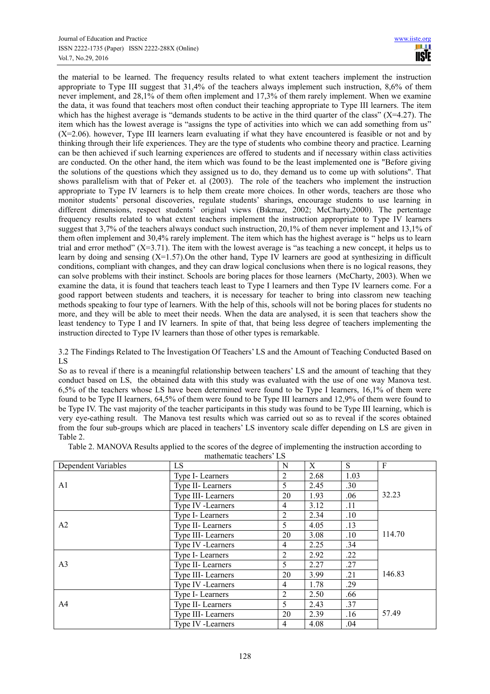the material to be learned. The frequency results related to what extent teachers implement the instruction appropriate to Type III suggest that 31,4% of the teachers always implement such instruction, 8,6% of them never implement, and 28,1% of them often implement and 17,3% of them rarely implement. When we examine the data, it was found that teachers most often conduct their teaching appropriate to Type III learners. The item which has the highest average is "demands students to be active in the third quarter of the class"  $(X=4.27)$ . The item which has the lowest average is "assigns the type of activities into which we can add something from us" (X=2.06). however, Type III learners learn evaluating if what they have encountered is feasible or not and by thinking through their life experiences. They are the type of students who combine theory and practice. Learning can be then achieved if such learning experiences are offered to students and if necessary within class activities are conducted. On the other hand, the item which was found to be the least implemented one is "Before giving the solutions of the questions which they assigned us to do, they demand us to come up with solutions". That shows parallelism with that of Peker et. al (2003). The role of the teachers who implement the instruction appropriate to Type IV learners is to help them create more choices. In other words, teachers are those who monitor students' personal discoveries, regulate students' sharings, encourage students to use learning in different dimensions, respect students' original views (Bıkmaz, 2002; McCharty,2000). The pertentage frequency results related to what extent teachers implement the instruction appropriate to Type IV learners suggest that 3,7% of the teachers always conduct such instruction, 20,1% of them never implement and 13,1% of them often implement and 30,4% rarely implement. The item which has the highest average is " helps us to learn trial and error method"  $(X=3.71)$ . The item with the lowest average is "as teaching a new concept, it helps us to learn by doing and sensing (X=1.57).On the other hand, Type IV learners are good at synthesizing in difficult conditions, compliant with changes, and they can draw logical conclusions when there is no logical reasons, they can solve problems with their instinct. Schools are boring places for those learners (McCharty, 2003). When we examine the data, it is found that teachers teach least to Type I learners and then Type IV learners come. For a good rapport between students and teachers, it is necessary for teacher to bring into classrom new teaching methods speaking to four type of learners. With the help of this, schools will not be boring places for students no more, and they will be able to meet their needs. When the data are analysed, it is seen that teachers show the least tendency to Type I and IV learners. In spite of that, that being less degree of teachers implementing the instruction directed to Type IV learners than those of other types is remarkable.

3.2 The Findings Related to The İnvestigation Of Teachers' LS and the Amount of Teaching Conducted Based on LS

So as to reveal if there is a meaningful relationship between teachers' LS and the amount of teaching that they conduct based on LS, the obtained data with this study was evaluated with the use of one way Manova test. 6,5% of the teachers whose LS have been determined were found to be Type I learners, 16,1% of them were found to be Type II learners, 64,5% of them were found to be Type III learners and 12,9% of them were found to be Type IV. The vast majority of the teacher participants in this study was found to be Type III learning, which is very eye-cathing result. The Manova test results which was carried out so as to reveal if the scores obtained from the four sub-groups which are placed in teachers' LS inventory scale differ depending on LS are given in Table 2.

| Table 2. MANOVA Results applied to the scores of the degree of implementing the instruction according to |  |
|----------------------------------------------------------------------------------------------------------|--|
| mothomatic tooghom? IC                                                                                   |  |

| Dependent Variables | mamemane teachers LS<br>LS |                |      | S    | F      |
|---------------------|----------------------------|----------------|------|------|--------|
|                     | Type I- Learners           | 2              | 2.68 | 1.03 |        |
| A <sub>1</sub>      | Type II-Learners           | 5              | 2.45 | .30  |        |
|                     | Type III-Learners          | 20             | 1.93 | .06  | 32.23  |
|                     | Type IV -Learners<br>4     |                | 3.12 | .11  |        |
|                     | Type I-Learners            | 2              | 2.34 | .10  |        |
| A2                  | Type II-Learners           | 5              | 4.05 | .13  |        |
|                     | Type III-Learners          | 20             | 3.08 | .10  | 114.70 |
|                     | Type IV -Learners          | 4              | 2.25 | .34  |        |
|                     | Type I-Learners            | $\overline{2}$ | 2.92 | .22  |        |
| A <sub>3</sub>      | Type II-Learners           | 5              | 2.27 | .27  |        |
|                     | Type III-Learners          | 20             | 3.99 | .21  | 146.83 |
|                     | Type IV -Learners          | 4              | 1.78 | .29  |        |
|                     | Type I-Learners            | 2              | 2.50 | .66  |        |
| A4                  | Type II-Learners           | 5              | 2.43 | .37  |        |
|                     | Type III-Learners          | 20             | 2.39 | .16  | 57.49  |
|                     | Type IV -Learners          | 4              | 4.08 | .04  |        |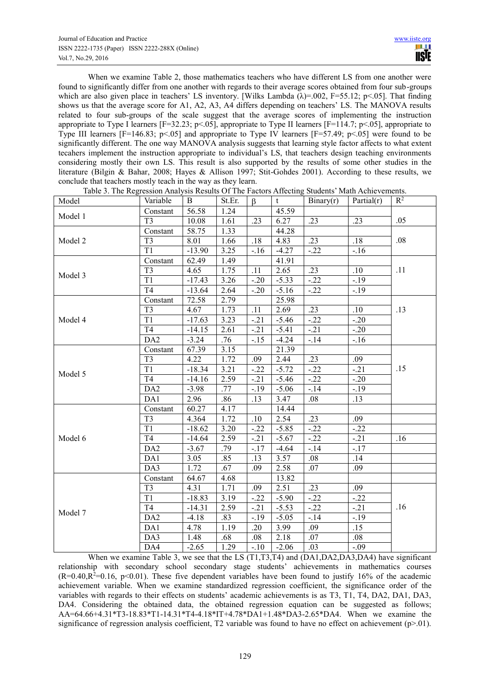When we examine Table 2, those mathematics teachers who have different LS from one another were found to significantly differ from one another with regards to their average scores obtained from four sub-groups which are also given place in teachers' LS inventory. [Wilks Lambda  $(\lambda)$ =.002, F=55.12; p<.05]. That finding shows us that the average score for A1, A2, A3, A4 differs depending on teachers' LS. The MANOVA results related to four sub-groups of the scale suggest that the average scores of implementing the instruction appropriate to Type I learners  $[F=32.23; p<.05]$ , appropriate to Type II learners  $[F=114.7; p<.05]$ , appropriate to Type III learners  $[F=146.83; p<.05]$  and appropriate to Type IV learners  $[F=57.49; p<.05]$  were found to be significantly different. The one way MANOVA analysis suggests that learning style factor affects to what extent tecahers implement the instruction appropriate to individual's LS, that teachers design teaching environments considering mostly their own LS. This result is also supported by the results of some other studies in the literature (Bilgin & Bahar, 2008; Hayes & Allison 1997; Stit-Gohdes 2001). According to these results, we conclude that teachers mostly teach in the way as they learn.

| 56.58<br>1.24<br>45.59<br>Constant<br>Model 1<br>.23<br>$\overline{T3}$<br>1.61<br>$\overline{.23}$<br>$\overline{.23}$<br>.05<br>10.08<br>6.27<br>58.75<br>44.28<br>Constant<br>1.33<br>$\overline{.23}$<br>$\overline{.18}$<br>.08<br>T <sub>3</sub><br>8.01<br>1.66<br>.18<br>4.83<br>$\overline{T1}$<br>3.25<br>$-16$<br>$-13.90$<br>$-4.27$<br>$-22$<br>$-16$<br>62.49<br>1.49<br>41.91<br>Constant<br>$\overline{T3}$<br>1.75<br>4.65<br>.11<br>2.65<br>.23<br>.10<br>.11<br>Model 3<br>$\overline{T1}$<br>$-5.33$<br>$-22$<br>$-19$<br>$-17.43$<br>3.26<br>$-.20$<br>$\overline{T4}$<br>2.64<br>$-13.64$<br>$-.20$<br>$-5.16$<br>$-22$<br>$-19$<br>72.58<br>2.79<br>25.98<br>Constant<br>2.69<br>.10<br>.13<br>T <sub>3</sub><br>4.67<br>1.73<br>.11<br>.23<br>T1<br>$-17.63$<br>3.23<br>$-22$<br>$-20$<br>$-.21$<br>$-5.46$<br>T <sub>4</sub><br>$-14.15$<br>2.61<br>$-5.41$<br>$-.21$<br>$-20$<br>$-.21$<br>DA <sub>2</sub><br>$-3.24$<br>.76<br>$-15$<br>$-4.24$<br>$-14$<br>$-16$<br>67.39<br>3.15<br>21.39<br>Constant<br>T <sub>3</sub><br>4.22<br>1.72<br>2.44<br>.23<br>.09<br>.09<br>$\overline{T1}$<br>$-22$<br>.15<br>$-18.34$<br>3.21<br>$-5.72$<br>$-.21$<br>$-.22$<br>Model 5<br>$\overline{T4}$<br>2.59<br>$-14.16$<br>$-.21$<br>$-5.46$<br>$-22$<br>$-.20$<br>$\overline{DA2}$<br>.77<br>$-14$<br>$-3.98$<br>$-.19$<br>$-5.06$<br>$-.19$<br>DA1<br>2.96<br>.86<br>.13<br>3.47<br>.08<br>.13<br>60.27<br>4.17<br>14.44<br>Constant<br>2.54<br>.23<br>.09<br>T <sub>3</sub><br>4.364<br>1.72<br>.10<br>T1<br>3.20<br>$-5.85$<br>$-.22$<br>$-22$<br>$-18.62$<br>$-.22$<br>T <sub>4</sub><br>2.59<br>$-.21$<br>$-5.67$<br>$-22$<br>$-.21$<br>$-14.64$<br>.16<br>.79<br>DA <sub>2</sub><br>$-4.64$<br>$-14$<br>$-.17$<br>$-3.67$<br>$-.17$<br>.85<br>DA1<br>.13<br>3.57<br>.08<br>.14<br>3.05 | Model   | Variable | B    | St.Er. | $\beta$ | t    | Binary(r) | Partial(r) | $R^2$ |
|-----------------------------------------------------------------------------------------------------------------------------------------------------------------------------------------------------------------------------------------------------------------------------------------------------------------------------------------------------------------------------------------------------------------------------------------------------------------------------------------------------------------------------------------------------------------------------------------------------------------------------------------------------------------------------------------------------------------------------------------------------------------------------------------------------------------------------------------------------------------------------------------------------------------------------------------------------------------------------------------------------------------------------------------------------------------------------------------------------------------------------------------------------------------------------------------------------------------------------------------------------------------------------------------------------------------------------------------------------------------------------------------------------------------------------------------------------------------------------------------------------------------------------------------------------------------------------------------------------------------------------------------------------------------------------------------------------------------------------------------------------------------------------------------------------------------|---------|----------|------|--------|---------|------|-----------|------------|-------|
|                                                                                                                                                                                                                                                                                                                                                                                                                                                                                                                                                                                                                                                                                                                                                                                                                                                                                                                                                                                                                                                                                                                                                                                                                                                                                                                                                                                                                                                                                                                                                                                                                                                                                                                                                                                                                 |         |          |      |        |         |      |           |            |       |
|                                                                                                                                                                                                                                                                                                                                                                                                                                                                                                                                                                                                                                                                                                                                                                                                                                                                                                                                                                                                                                                                                                                                                                                                                                                                                                                                                                                                                                                                                                                                                                                                                                                                                                                                                                                                                 |         |          |      |        |         |      |           |            |       |
|                                                                                                                                                                                                                                                                                                                                                                                                                                                                                                                                                                                                                                                                                                                                                                                                                                                                                                                                                                                                                                                                                                                                                                                                                                                                                                                                                                                                                                                                                                                                                                                                                                                                                                                                                                                                                 | Model 2 |          |      |        |         |      |           |            |       |
|                                                                                                                                                                                                                                                                                                                                                                                                                                                                                                                                                                                                                                                                                                                                                                                                                                                                                                                                                                                                                                                                                                                                                                                                                                                                                                                                                                                                                                                                                                                                                                                                                                                                                                                                                                                                                 |         |          |      |        |         |      |           |            |       |
|                                                                                                                                                                                                                                                                                                                                                                                                                                                                                                                                                                                                                                                                                                                                                                                                                                                                                                                                                                                                                                                                                                                                                                                                                                                                                                                                                                                                                                                                                                                                                                                                                                                                                                                                                                                                                 |         |          |      |        |         |      |           |            |       |
|                                                                                                                                                                                                                                                                                                                                                                                                                                                                                                                                                                                                                                                                                                                                                                                                                                                                                                                                                                                                                                                                                                                                                                                                                                                                                                                                                                                                                                                                                                                                                                                                                                                                                                                                                                                                                 |         |          |      |        |         |      |           |            |       |
|                                                                                                                                                                                                                                                                                                                                                                                                                                                                                                                                                                                                                                                                                                                                                                                                                                                                                                                                                                                                                                                                                                                                                                                                                                                                                                                                                                                                                                                                                                                                                                                                                                                                                                                                                                                                                 |         |          |      |        |         |      |           |            |       |
|                                                                                                                                                                                                                                                                                                                                                                                                                                                                                                                                                                                                                                                                                                                                                                                                                                                                                                                                                                                                                                                                                                                                                                                                                                                                                                                                                                                                                                                                                                                                                                                                                                                                                                                                                                                                                 |         |          |      |        |         |      |           |            |       |
|                                                                                                                                                                                                                                                                                                                                                                                                                                                                                                                                                                                                                                                                                                                                                                                                                                                                                                                                                                                                                                                                                                                                                                                                                                                                                                                                                                                                                                                                                                                                                                                                                                                                                                                                                                                                                 |         |          |      |        |         |      |           |            |       |
|                                                                                                                                                                                                                                                                                                                                                                                                                                                                                                                                                                                                                                                                                                                                                                                                                                                                                                                                                                                                                                                                                                                                                                                                                                                                                                                                                                                                                                                                                                                                                                                                                                                                                                                                                                                                                 |         |          |      |        |         |      |           |            |       |
|                                                                                                                                                                                                                                                                                                                                                                                                                                                                                                                                                                                                                                                                                                                                                                                                                                                                                                                                                                                                                                                                                                                                                                                                                                                                                                                                                                                                                                                                                                                                                                                                                                                                                                                                                                                                                 |         |          |      |        |         |      |           |            |       |
|                                                                                                                                                                                                                                                                                                                                                                                                                                                                                                                                                                                                                                                                                                                                                                                                                                                                                                                                                                                                                                                                                                                                                                                                                                                                                                                                                                                                                                                                                                                                                                                                                                                                                                                                                                                                                 | Model 4 |          |      |        |         |      |           |            |       |
|                                                                                                                                                                                                                                                                                                                                                                                                                                                                                                                                                                                                                                                                                                                                                                                                                                                                                                                                                                                                                                                                                                                                                                                                                                                                                                                                                                                                                                                                                                                                                                                                                                                                                                                                                                                                                 |         |          |      |        |         |      |           |            |       |
|                                                                                                                                                                                                                                                                                                                                                                                                                                                                                                                                                                                                                                                                                                                                                                                                                                                                                                                                                                                                                                                                                                                                                                                                                                                                                                                                                                                                                                                                                                                                                                                                                                                                                                                                                                                                                 |         |          |      |        |         |      |           |            |       |
|                                                                                                                                                                                                                                                                                                                                                                                                                                                                                                                                                                                                                                                                                                                                                                                                                                                                                                                                                                                                                                                                                                                                                                                                                                                                                                                                                                                                                                                                                                                                                                                                                                                                                                                                                                                                                 |         |          |      |        |         |      |           |            |       |
|                                                                                                                                                                                                                                                                                                                                                                                                                                                                                                                                                                                                                                                                                                                                                                                                                                                                                                                                                                                                                                                                                                                                                                                                                                                                                                                                                                                                                                                                                                                                                                                                                                                                                                                                                                                                                 |         |          |      |        |         |      |           |            |       |
|                                                                                                                                                                                                                                                                                                                                                                                                                                                                                                                                                                                                                                                                                                                                                                                                                                                                                                                                                                                                                                                                                                                                                                                                                                                                                                                                                                                                                                                                                                                                                                                                                                                                                                                                                                                                                 |         |          |      |        |         |      |           |            |       |
|                                                                                                                                                                                                                                                                                                                                                                                                                                                                                                                                                                                                                                                                                                                                                                                                                                                                                                                                                                                                                                                                                                                                                                                                                                                                                                                                                                                                                                                                                                                                                                                                                                                                                                                                                                                                                 |         |          |      |        |         |      |           |            |       |
|                                                                                                                                                                                                                                                                                                                                                                                                                                                                                                                                                                                                                                                                                                                                                                                                                                                                                                                                                                                                                                                                                                                                                                                                                                                                                                                                                                                                                                                                                                                                                                                                                                                                                                                                                                                                                 |         |          |      |        |         |      |           |            |       |
|                                                                                                                                                                                                                                                                                                                                                                                                                                                                                                                                                                                                                                                                                                                                                                                                                                                                                                                                                                                                                                                                                                                                                                                                                                                                                                                                                                                                                                                                                                                                                                                                                                                                                                                                                                                                                 |         |          |      |        |         |      |           |            |       |
|                                                                                                                                                                                                                                                                                                                                                                                                                                                                                                                                                                                                                                                                                                                                                                                                                                                                                                                                                                                                                                                                                                                                                                                                                                                                                                                                                                                                                                                                                                                                                                                                                                                                                                                                                                                                                 |         |          |      |        |         |      |           |            |       |
|                                                                                                                                                                                                                                                                                                                                                                                                                                                                                                                                                                                                                                                                                                                                                                                                                                                                                                                                                                                                                                                                                                                                                                                                                                                                                                                                                                                                                                                                                                                                                                                                                                                                                                                                                                                                                 |         |          |      |        |         |      |           |            |       |
|                                                                                                                                                                                                                                                                                                                                                                                                                                                                                                                                                                                                                                                                                                                                                                                                                                                                                                                                                                                                                                                                                                                                                                                                                                                                                                                                                                                                                                                                                                                                                                                                                                                                                                                                                                                                                 |         |          |      |        |         |      |           |            |       |
|                                                                                                                                                                                                                                                                                                                                                                                                                                                                                                                                                                                                                                                                                                                                                                                                                                                                                                                                                                                                                                                                                                                                                                                                                                                                                                                                                                                                                                                                                                                                                                                                                                                                                                                                                                                                                 | Model 6 |          |      |        |         |      |           |            |       |
|                                                                                                                                                                                                                                                                                                                                                                                                                                                                                                                                                                                                                                                                                                                                                                                                                                                                                                                                                                                                                                                                                                                                                                                                                                                                                                                                                                                                                                                                                                                                                                                                                                                                                                                                                                                                                 |         |          |      |        |         |      |           |            |       |
|                                                                                                                                                                                                                                                                                                                                                                                                                                                                                                                                                                                                                                                                                                                                                                                                                                                                                                                                                                                                                                                                                                                                                                                                                                                                                                                                                                                                                                                                                                                                                                                                                                                                                                                                                                                                                 |         |          |      |        |         |      |           |            |       |
|                                                                                                                                                                                                                                                                                                                                                                                                                                                                                                                                                                                                                                                                                                                                                                                                                                                                                                                                                                                                                                                                                                                                                                                                                                                                                                                                                                                                                                                                                                                                                                                                                                                                                                                                                                                                                 |         | DA3      | 1.72 | .67    | .09     | 2.58 | .07       | .09        |       |
| 64.67<br>4.68<br>13.82<br>Constant                                                                                                                                                                                                                                                                                                                                                                                                                                                                                                                                                                                                                                                                                                                                                                                                                                                                                                                                                                                                                                                                                                                                                                                                                                                                                                                                                                                                                                                                                                                                                                                                                                                                                                                                                                              | Model 7 |          |      |        |         |      |           |            |       |
| T <sub>3</sub><br>1.71<br>2.51<br>.23<br>.09<br>4.31<br>.09                                                                                                                                                                                                                                                                                                                                                                                                                                                                                                                                                                                                                                                                                                                                                                                                                                                                                                                                                                                                                                                                                                                                                                                                                                                                                                                                                                                                                                                                                                                                                                                                                                                                                                                                                     |         |          |      |        |         |      |           |            |       |
| T1<br>$-18.83$<br>3.19<br>$-5.90$<br>$-.22$<br>$-22$<br>$-.22$                                                                                                                                                                                                                                                                                                                                                                                                                                                                                                                                                                                                                                                                                                                                                                                                                                                                                                                                                                                                                                                                                                                                                                                                                                                                                                                                                                                                                                                                                                                                                                                                                                                                                                                                                  |         |          |      |        |         |      |           |            |       |
| .16<br>T4<br>$-14.31$<br>2.59<br>$-.21$<br>$-5.53$<br>$-22$<br>$-21$                                                                                                                                                                                                                                                                                                                                                                                                                                                                                                                                                                                                                                                                                                                                                                                                                                                                                                                                                                                                                                                                                                                                                                                                                                                                                                                                                                                                                                                                                                                                                                                                                                                                                                                                            |         |          |      |        |         |      |           |            |       |
| DA <sub>2</sub><br>.83<br>$-4.18$<br>$-19$<br>$-5.05$<br>$-.14$<br>$-19$                                                                                                                                                                                                                                                                                                                                                                                                                                                                                                                                                                                                                                                                                                                                                                                                                                                                                                                                                                                                                                                                                                                                                                                                                                                                                                                                                                                                                                                                                                                                                                                                                                                                                                                                        |         |          |      |        |         |      |           |            |       |
| .15<br>DA1<br>4.78<br>1.19<br>3.99<br>.09<br>.20                                                                                                                                                                                                                                                                                                                                                                                                                                                                                                                                                                                                                                                                                                                                                                                                                                                                                                                                                                                                                                                                                                                                                                                                                                                                                                                                                                                                                                                                                                                                                                                                                                                                                                                                                                |         |          |      |        |         |      |           |            |       |
| DA3<br>.08<br>1.48<br>.68<br>2.18<br>.07<br>.08                                                                                                                                                                                                                                                                                                                                                                                                                                                                                                                                                                                                                                                                                                                                                                                                                                                                                                                                                                                                                                                                                                                                                                                                                                                                                                                                                                                                                                                                                                                                                                                                                                                                                                                                                                 |         |          |      |        |         |      |           |            |       |
| DA4<br>$-2.65$<br>1.29<br>.03<br>$-.09$<br>$-.10$<br>$-2.06$                                                                                                                                                                                                                                                                                                                                                                                                                                                                                                                                                                                                                                                                                                                                                                                                                                                                                                                                                                                                                                                                                                                                                                                                                                                                                                                                                                                                                                                                                                                                                                                                                                                                                                                                                    |         |          |      |        |         |      |           |            |       |

Table 3. The Regression Analysis Results Of The Factors Affecting Students' Math Achievements.

When we examine Table 3, we see that the LS (T1,T3,T4) and (DA1,DA2,DA3,DA4) have significant relationship with secondary school secondary stage students' achievements in mathematics courses  $(R=0.40, R^2=0.16, p<0.01)$ . These five dependent variables have been found to justify 16% of the academic achievement variable. When we examine standardized regression coefficient, the significance order of the variables with regards to their effects on students' academic achievements is as T3, T1, T4, DA2, DA1, DA3, DA4. Considering the obtained data, the obtained regression equation can be suggested as follows; AA=64.66+4.31\*T3-18.83\*T1-14.31\*T4-4.18\*IT+4.78\*DA1+1.48\*DA3-2.65\*DA4. When we examine the significance of regression analysis coefficient,  $T2$  variable was found to have no effect on achievement (p>.01).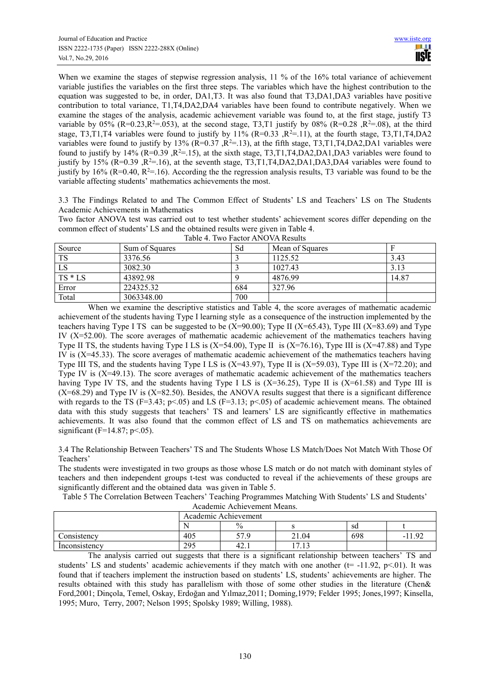When we examine the stages of stepwise regression analysis, 11 % of the 16% total variance of achievement variable justifies the variables on the first three steps. The variables which have the highest contribution to the equation was suggested to be, in order, DA1,T3. It was also found that T3,DA1,DA3 variables have positive contribution to total variance, T1,T4,DA2,DA4 variables have been found to contribute negatively. When we examine the stages of the analysis, academic achievement variable was found to, at the first stage, justify T3 variable by 05% (R=0.23, R<sup>2</sup>=.053), at the second stage, T3,T1 justify by 08% (R=0.28 , R<sup>2</sup>=.08), at the third stage, T3,T1,T4 variables were found to justify by  $11\%$  (R=0.33 ,R<sup>2</sup>=.11), at the fourth stage, T3,T1,T4,DA2 variables were found to justify by 13% ( $R=0.37$ ,  $R^2=13$ ), at the fifth stage, T3,T1,T4,DA2,DA1 variables were found to justify by 14% ( $R=0.39$  , $R^2=15$ ), at the sixth stage, T3,T1,T4,DA2,DA1,DA3 variables were found to justify by 15% (R=0.39, R<sup>2</sup>=.16), at the seventh stage, T3,T1,T4,DA2,DA1,DA3,DA4 variables were found to justify by 16% (R=0.40, R<sup>2</sup>=.16). According the the regression analysis results, T3 variable was found to be the variable affecting students' mathematics achievements the most.

3.3 The Findings Related to and The Common Effect of Students' LS and Teachers' LS on The Students Academic Achievements in Mathematics

Two factor ANOVA test was carried out to test whether students' achievement scores differ depending on the common effect of students' LS and the obtained results were given in Table 4.

| Source    | Sum of Squares | Sd  | Mean of Squares |       |
|-----------|----------------|-----|-----------------|-------|
| <b>TS</b> | 3376.56        |     | 1125.52         | 3.43  |
| LS        | 3082.30        |     | 1027.43         | 3.13  |
| $TS * LS$ | 43892.98       |     | 4876.99         | 14.87 |
| Error     | 224325.32      | 684 | 327.96          |       |
| Total     | 3063348.00     | 700 |                 |       |

|  | Table 4. Two Factor ANOVA Results |  |
|--|-----------------------------------|--|

When we examine the descriptive statistics and Table 4, the score averages of mathematic academic achievement of the students having Type I learning style as a consequence of the instruction implemented by the teachers having Type I TS can be suggested to be  $(X=90.00)$ ; Type II  $(X=65.43)$ , Type III  $(X=83.69)$  and Type IV (X=52.00). The score averages of mathematic academic achievement of the mathematics teachers having Type II TS, the students having Type I LS is  $(X=54.00)$ , Type II is  $(X=76.16)$ , Type III is  $(X=47.88)$  and Type IV is (X=45.33). The score averages of mathematic academic achievement of the mathematics teachers having Type III TS, and the students having Type I LS is (X=43.97), Type II is (X=59.03), Type III is (X=72.20); and Type IV is (X=49.13). The score averages of mathematic academic achievement of the mathematics teachers having Type IV TS, and the students having Type I LS is  $(X=36.25)$ , Type II is  $(X=61.58)$  and Type III is  $(X=68.29)$  and Type IV is  $(X=82.50)$ . Besides, the ANOVA results suggest that there is a significant difference with regards to the TS (F=3.43; p<.05) and LS (F=3.13; p<.05) of academic achievement means. The obtained data with this study suggests that teachers' TS and learners' LS are significantly effective in mathematics achievements. It was also found that the common effect of LS and TS on mathematics achievements are significant ( $F=14.87$ ;  $p<.05$ ).

3.4 The Relationship Between Teachers' TS and The Students Whose LS Match/Does Not Match With Those Of Teachers'

The students were investigated in two groups as those whose LS match or do not match with dominant styles of teachers and then independent groups t-test was conducted to reveal if the achievements of these groups are significantly different and the obtained data was given in Table 5.

Table 5 The Correlation Between Teachers' Teaching Programmes Matching With Students' LS and Students'

Academic Achievement Means.

|               | Academic Achievement |         |                             |     |                 |  |  |
|---------------|----------------------|---------|-----------------------------|-----|-----------------|--|--|
|               |                      | $\%$    |                             | sd  |                 |  |  |
| `onsistencv   | 405                  | cπ<br>ر | 21.04                       | 698 | $\Omega$<br>- 1 |  |  |
| Inconsistency | 295                  | 42.1    | 1 <sub>2</sub><br>⇁<br>ر 1. |     |                 |  |  |

The analysis carried out suggests that there is a significant relationship between teachers' TS and students' LS and students' academic achievements if they match with one another ( $t = -11.92$ ,  $p < 01$ ). It was found that if teachers implement the instruction based on students' LS, students' achievements are higher. The results obtained with this study has parallelism with those of some other studies in the literature (Chen& Ford,2001; Dinçola, Temel, Oskay, Erdoğan and Yılmaz,2011; Doming,1979; Felder 1995; Jones,1997; Kinsella, 1995; Muro, Terry, 2007; Nelson 1995; Spolsky 1989; Willing, 1988).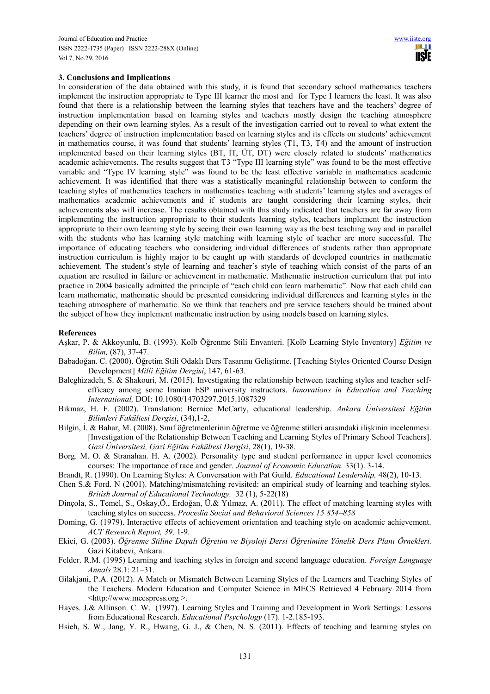# **3. Conclusions and Implications**

In consideration of the data obtained with this study, it is found that secondary school mathematics teachers implement the instruction appropriate to Type III learner the most and for Type I learners the least. It was also found that there is a relationship between the learning styles that teachers have and the teachers' degree of instruction implementation based on learning styles and teachers mostly design the teaching atmosphere depending on their own learning styles. As a result of the investigation carried out to reveal to what extent the teachers' degree of instruction implementation based on learning styles and its effects on students' achievement in mathematics course, it was found that students' learning styles (T1, T3, T4) and the amount of instruction implemented based on their learning styles (BT, İT, ÜT, DT) were closely related to students' mathematics academic achievements. The results suggest that T3 "Type III learning style" was found to be the most effective variable and "Type IV learning style" was found to be the least effective variable in mathematics academic achievement. It was identified that there was a statistically meaningful relationship between to conform the teaching styles of mathematics teachers in mathematics teaching with students' learning styles and averages of mathematics academic achievements and if students are taught considering their learning styles, their achievements also will increase. The results obtained with this study indicated that teachers are far away from implementing the instruction appropriate to their students learning styles, teachers implement the instruction appropriate to their own learning style by seeing their own learning way as the best teaching way and in parallel with the students who has learning style matching with learning style of teacher are more successful. The importance of educating teachers who considering individual differences of students rather than appropriate instruction curriculum is highly major to be caught up with standards of developed countries in mathematic achievement. The student's style of learning and teacher's style of teaching which consist of the parts of an equation are resulted in failure or achievement in mathematic. Mathematic instruction curriculum that put into practice in 2004 basically admitted the principle of "each child can learn mathematic". Now that each child can learn mathematic, mathematic should be presented considering individual differences and learning styles in the teaching atmosphere of mathematic. So we think that teachers and pre service teachers should be trained about the subject of how they implement mathematic instruction by using models based on learning styles.

#### **References**

- Aşkar, P. & Akkoyunlu, B. (1993). Kolb Öğrenme Stili Envanteri. [Kolb Learning Style Inventory] *Eğitim ve Bilim,* (87), 37-47.
- Babadoğan. C. (2000). Öğretim Stili Odaklı Ders Tasarımı Geliştirme. [Teaching Styles Oriented Course Design Development] *Milli Eğitim Dergisi*, 147, 61-63.
- Baleghizadeh, S. & Shakouri, M. (2015). Investigating the relationship between teaching styles and teacher selfefficacy among some Iranian ESP university instructors. *Innovations in Education and Teaching International,* DOI: 10.1080/14703297.2015.1087329
- Bıkmaz, H. F. (2002). Translation: Bernice McCarty, educational leadership. *Ankara Üniversitesi Eğitim Bilimleri Fakültesi Dergisi*, (34),1-2,
- Bilgin, İ. & Bahar, M. (2008). Sınıf öğretmenlerinin öğretme ve öğrenme stilleri arasındaki ilişkinin incelenmesi. [Investigation of the Relationship Between Teaching and Learning Styles of Primary School Teachers]. *Gazi Üniversitesi, Gazi Eğitim Fakültesi Dergisi*, 28(1), 19-38.
- Borg. M. O. & Stranahan. H. A. (2002). Personality type and student performance in upper level economics courses: The importance of race and gender. *Journal of Economic Education.* 33(1). 3-14.
- Brandt, R. (1990). On Learning Styles: A Conversation with Pat Guild. *Educational Leadership,* 48(2), 10-13.
- Chen S.& Ford. N (2001). Matching/mismatching revisited: an empirical study of learning and teaching styles. *British Journal of Educational Technology.* 32 (1), 5-22(18)
- Dinçola, S., Temel, S., Oskay,Ö., Erdoğan, Ü.& Yılmaz, A. (2011). The effect of matching learning styles with teaching styles on success. *Procedia Social and Behavioral Sciences 15 854–858*
- Doming, G. (1979). Interactive effects of achievement orientation and teaching style on academic achievement. *ACT Research Report, 39,* 1-9.
- Ekici, G. (2003). *Öğrenme Stiline Dayalı Öğretim ve Biyoloji Dersi Öğretimine Yönelik Ders Planı Örnekleri.*  Gazi Kitabevi, Ankara.
- Felder. R.M. (1995) Learning and teaching styles in foreign and second language education. *Foreign Language Annals* 28.1: 21–31.
- Gilakjani, P.A. (2012). A Match or Mismatch Between Learning Styles of the Learners and Teaching Styles of the Teachers. Modern Education and Computer Science in MECS Retrieved 4 February 2014 from <http://www.mecspress.org >.
- Hayes. J.& Allinson. C. W. (1997). Learning Styles and Training and Development in Work Settings: Lessons from Educational Research. *Educational Psychology* (17). 1-2.185-193.
- Hsieh, S. W., Jang, Y. R., Hwang, G. J., & Chen, N. S. (2011). Effects of teaching and learning styles on